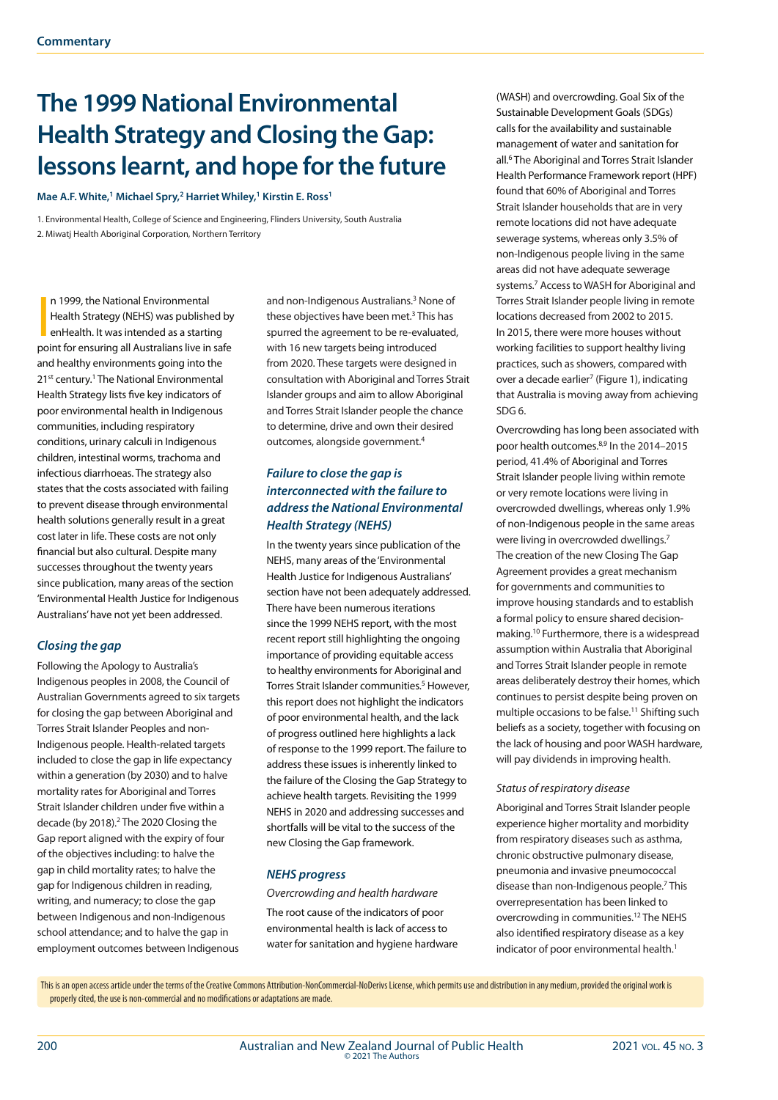# **The 1999 National Environmental Health Strategy and Closing the Gap: lessons learnt, and hope for the future**

Mae A.F. White,<sup>1</sup> Michael Spry,<sup>2</sup> Harriet Whiley,<sup>1</sup> Kirstin E. Ross<sup>1</sup>

1. Environmental Health, College of Science and Engineering, Flinders University, South Australia 2. Miwatj Health Aboriginal Corporation, Northern Territory

n 1999, the National Environmental<br>Health Strategy (NEHS) was published by<br>enHealth. It was intended as a starting<br>point for ensuring all Australians live in safe n 1999, the National Environmental Health Strategy (NEHS) was published by enHealth. It was intended as a starting and healthy environments going into the 21<sup>st</sup> century.<sup>1</sup> The National Environmental Health Strategy lists five key indicators of poor environmental health in Indigenous communities, including respiratory conditions, urinary calculi in Indigenous children, intestinal worms, trachoma and infectious diarrhoeas. The strategy also states that the costs associated with failing to prevent disease through environmental health solutions generally result in a great cost later in life. These costs are not only financial but also cultural. Despite many successes throughout the twenty years since publication, many areas of the section 'Environmental Health Justice for Indigenous Australians' have not yet been addressed.

## *Closing the gap*

Following the Apology to Australia's Indigenous peoples in 2008, the Council of Australian Governments agreed to six targets for closing the gap between Aboriginal and Torres Strait Islander Peoples and non-Indigenous people. Health-related targets included to close the gap in life expectancy within a generation (by 2030) and to halve mortality rates for Aboriginal and Torres Strait Islander children under five within a decade (by 2018).<sup>2</sup> The 2020 Closing the Gap report aligned with the expiry of four of the objectives including: to halve the gap in child mortality rates; to halve the gap for Indigenous children in reading, writing, and numeracy; to close the gap between Indigenous and non-Indigenous school attendance; and to halve the gap in employment outcomes between Indigenous

and non-Indigenous Australians.<sup>3</sup> None of these objectives have been met.<sup>3</sup> This has spurred the agreement to be re-evaluated, with 16 new targets being introduced from 2020. These targets were designed in consultation with Aboriginal and Torres Strait Islander groups and aim to allow Aboriginal and Torres Strait Islander people the chance to determine, drive and own their desired outcomes, alongside government.4

## *Failure to close the gap is interconnected with the failure to address the National Environmental Health Strategy (NEHS)*

In the twenty years since publication of the NEHS, many areas of the 'Environmental Health Justice for Indigenous Australians' section have not been adequately addressed. There have been numerous iterations since the 1999 NEHS report, with the most recent report still highlighting the ongoing importance of providing equitable access to healthy environments for Aboriginal and Torres Strait Islander communities.<sup>5</sup> However, this report does not highlight the indicators of poor environmental health, and the lack of progress outlined here highlights a lack of response to the 1999 report. The failure to address these issues is inherently linked to the failure of the Closing the Gap Strategy to achieve health targets. Revisiting the 1999 NEHS in 2020 and addressing successes and shortfalls will be vital to the success of the new Closing the Gap framework.

## *NEHS progress*

*Overcrowding and health hardware*

The root cause of the indicators of poor environmental health is lack of access to water for sanitation and hygiene hardware (WASH) and overcrowding. Goal Six of the Sustainable Development Goals (SDGs) calls for the availability and sustainable management of water and sanitation for all.6 The Aboriginal and Torres Strait Islander Health Performance Framework report (HPF) found that 60% of Aboriginal and Torres Strait Islander households that are in very remote locations did not have adequate sewerage systems, whereas only 3.5% of non-Indigenous people living in the same areas did not have adequate sewerage systems.7 Access to WASH for Aboriginal and Torres Strait Islander people living in remote locations decreased from 2002 to 2015. In 2015, there were more houses without working facilities to support healthy living practices, such as showers, compared with over a decade earlier<sup>7</sup> (Figure 1), indicating that Australia is moving away from achieving SDG 6.

Overcrowding has long been associated with poor health outcomes.8,9 In the 2014–2015 period, 41.4% of Aboriginal and Torres Strait Islander people living within remote or very remote locations were living in overcrowded dwellings, whereas only 1.9% of non-Indigenous people in the same areas were living in overcrowded dwellings.<sup>7</sup> The creation of the new Closing The Gap Agreement provides a great mechanism for governments and communities to improve housing standards and to establish a formal policy to ensure shared decisionmaking.10 Furthermore, there is a widespread assumption within Australia that Aboriginal and Torres Strait Islander people in remote areas deliberately destroy their homes, which continues to persist despite being proven on multiple occasions to be false.<sup>11</sup> Shifting such beliefs as a society, together with focusing on the lack of housing and poor WASH hardware, will pay dividends in improving health.

#### *Status of respiratory disease*

Aboriginal and Torres Strait Islander people experience higher mortality and morbidity from respiratory diseases such as asthma, chronic obstructive pulmonary disease, pneumonia and invasive pneumococcal disease than non-Indigenous people.<sup>7</sup> This overrepresentation has been linked to overcrowding in communities.12 The NEHS also identified respiratory disease as a key indicator of poor environmental health.<sup>1</sup>

This is an open access article under the terms of the Creative Commons Attribution-NonCommercial-NoDerivs License, which permits use and distribution in any medium, provided the original work is properly cited, the use is non-commercial and no modifications or adaptations are made.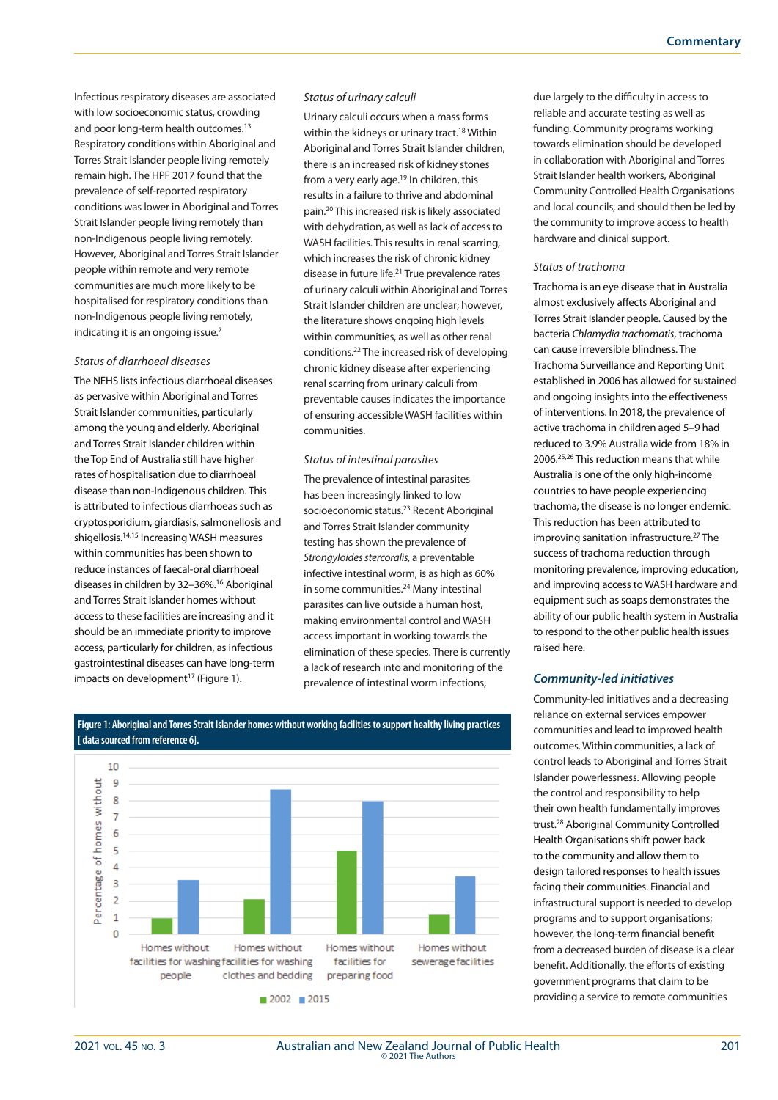Infectious respiratory diseases are associated with low socioeconomic status, crowding and poor long-term health outcomes.<sup>13</sup> Respiratory conditions within Aboriginal and Torres Strait Islander people living remotely remain high. The HPF 2017 found that the prevalence of self-reported respiratory conditions was lower in Aboriginal and Torres Strait Islander people living remotely than non-Indigenous people living remotely. However, Aboriginal and Torres Strait Islander people within remote and very remote communities are much more likely to be hospitalised for respiratory conditions than non-Indigenous people living remotely, indicating it is an ongoing issue.<sup>7</sup>

### *Status of diarrhoeal diseases*

The NEHS lists infectious diarrhoeal diseases as pervasive within Aboriginal and Torres Strait Islander communities, particularly among the young and elderly. Aboriginal and Torres Strait Islander children within the Top End of Australia still have higher rates of hospitalisation due to diarrhoeal disease than non-Indigenous children. This is attributed to infectious diarrhoeas such as cryptosporidium, giardiasis, salmonellosis and shigellosis.14,15 Increasing WASH measures within communities has been shown to reduce instances of faecal-oral diarrhoeal diseases in children by 32–36%.16 Aboriginal and Torres Strait Islander homes without access to these facilities are increasing and it should be an immediate priority to improve access, particularly for children, as infectious gastrointestinal diseases can have long-term impacts on development<sup>17</sup> (Figure 1).

#### *Status of urinary calculi*

Urinary calculi occurs when a mass forms within the kidneys or urinary tract.<sup>18</sup> Within Aboriginal and Torres Strait Islander children, there is an increased risk of kidney stones from a very early age.<sup>19</sup> In children, this results in a failure to thrive and abdominal pain.20 This increased risk is likely associated with dehydration, as well as lack of access to WASH facilities. This results in renal scarring, which increases the risk of chronic kidney disease in future life.21 True prevalence rates of urinary calculi within Aboriginal and Torres Strait Islander children are unclear; however, the literature shows ongoing high levels within communities, as well as other renal conditions.22 The increased risk of developing chronic kidney disease after experiencing renal scarring from urinary calculi from preventable causes indicates the importance of ensuring accessible WASH facilities within communities.

#### *Status of intestinal parasites*

The prevalence of intestinal parasites has been increasingly linked to low socioeconomic status.23 Recent Aboriginal and Torres Strait Islander community testing has shown the prevalence of *Strongyloides stercoralis,* a preventable infective intestinal worm, is as high as 60% in some communities.<sup>24</sup> Many intestinal parasites can live outside a human host, making environmental control and WASH access important in working towards the elimination of these species. There is currently a lack of research into and monitoring of the prevalence of intestinal worm infections,

10  $\ddot{q}$ without  $\mathbf{R}$  $\overline{7}$ of homes  $\overline{a}$  $\overline{5}$  $\overline{A}$ centage  $\overline{\mathbf{3}}$  $\overline{2}$ **Per**  $\mathbf{1}$  $\overline{a}$ Homes without Homes without Homes without Homes without facilities for washing facilities for washing facilities for sewerage facilities clothes and bedding people preparing food  $2002$  2015

**Figure 1: Aboriginal and Torres Strait Islander homes without working facilities to support healthy living practices [ data sourced from reference 6].**

due largely to the difficulty in access to reliable and accurate testing as well as funding. Community programs working towards elimination should be developed in collaboration with Aboriginal and Torres Strait Islander health workers, Aboriginal Community Controlled Health Organisations and local councils, and should then be led by the community to improve access to health hardware and clinical support.

#### *Status of trachoma*

Trachoma is an eye disease that in Australia almost exclusively affects Aboriginal and Torres Strait Islander people. Caused by the bacteria *Chlamydia trachomatis*, trachoma can cause irreversible blindness. The Trachoma Surveillance and Reporting Unit established in 2006 has allowed for sustained and ongoing insights into the effectiveness of interventions. In 2018, the prevalence of active trachoma in children aged 5–9 had reduced to 3.9% Australia wide from 18% in 2006.25,26 This reduction means that while Australia is one of the only high-income countries to have people experiencing trachoma, the disease is no longer endemic. This reduction has been attributed to improving sanitation infrastructure.<sup>27</sup> The success of trachoma reduction through monitoring prevalence, improving education, and improving access to WASH hardware and equipment such as soaps demonstrates the ability of our public health system in Australia to respond to the other public health issues raised here.

### *Community-led initiatives*

Community-led initiatives and a decreasing reliance on external services empower communities and lead to improved health outcomes. Within communities, a lack of control leads to Aboriginal and Torres Strait Islander powerlessness. Allowing people the control and responsibility to help their own health fundamentally improves trust.28 Aboriginal Community Controlled Health Organisations shift power back to the community and allow them to design tailored responses to health issues facing their communities. Financial and infrastructural support is needed to develop programs and to support organisations; however, the long-term financial benefit from a decreased burden of disease is a clear benefit. Additionally, the efforts of existing government programs that claim to be providing a service to remote communities